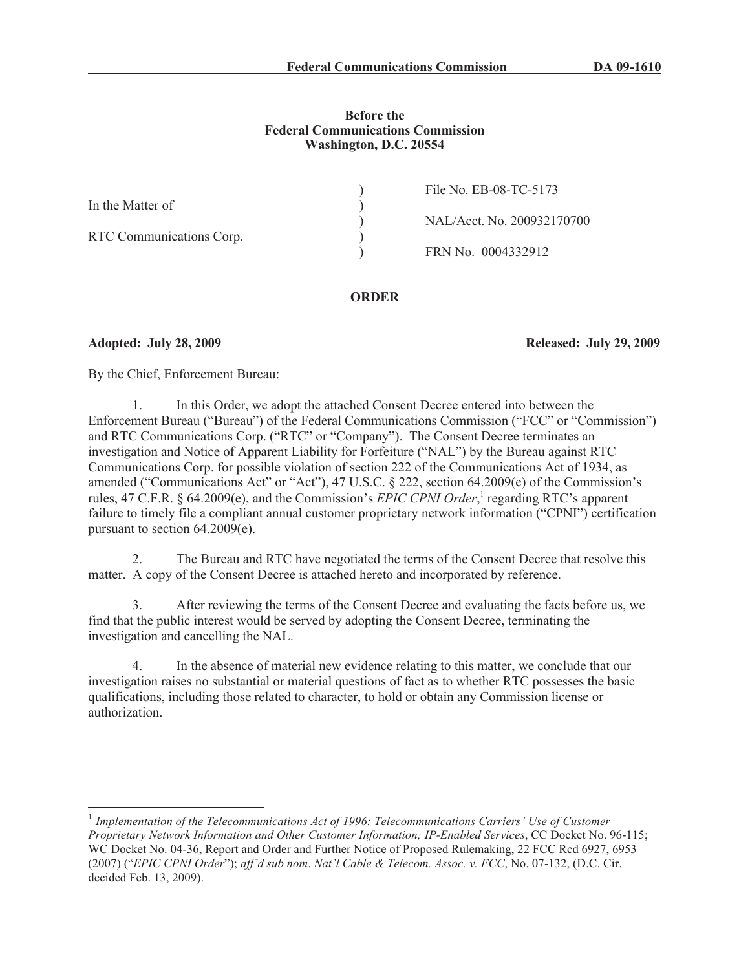## **Before the Federal Communications Commission Washington, D.C. 20554**

|                          | File No. EB-08-TC-5173     |
|--------------------------|----------------------------|
| In the Matter of         |                            |
|                          | NAL/Acct. No. 200932170700 |
| RTC Communications Corp. |                            |
|                          | FRN No. 0004332912         |
|                          |                            |

# **ORDER**

**Adopted: July 28, 2009 Released: July 29, 2009**

By the Chief, Enforcement Bureau:

1. In this Order, we adopt the attached Consent Decree entered into between the Enforcement Bureau ("Bureau") of the Federal Communications Commission ("FCC" or "Commission") and RTC Communications Corp. ("RTC" or "Company"). The Consent Decree terminates an investigation and Notice of Apparent Liability for Forfeiture ("NAL") by the Bureau against RTC Communications Corp. for possible violation of section 222 of the Communications Act of 1934, as amended ("Communications Act" or "Act"), 47 U.S.C. § 222, section 64.2009(e) of the Commission's rules, 47 C.F.R. § 64.2009(e), and the Commission's *EPIC CPNI Order*,<sup>1</sup> regarding RTC's apparent failure to timely file a compliant annual customer proprietary network information ("CPNI") certification pursuant to section 64.2009(e).

2. The Bureau and RTC have negotiated the terms of the Consent Decree that resolve this matter. A copy of the Consent Decree is attached hereto and incorporated by reference.

3. After reviewing the terms of the Consent Decree and evaluating the facts before us, we find that the public interest would be served by adopting the Consent Decree, terminating the investigation and cancelling the NAL.

In the absence of material new evidence relating to this matter, we conclude that our investigation raises no substantial or material questions of fact as to whether RTC possesses the basic qualifications, including those related to character, to hold or obtain any Commission license or authorization.

<sup>&</sup>lt;sup>1</sup> Implementation of the Telecommunications Act of 1996: Telecommunications Carriers' Use of Customer *Proprietary Network Information and Other Customer Information; IP-Enabled Services*, CC Docket No. 96-115; WC Docket No. 04-36, Report and Order and Further Notice of Proposed Rulemaking, 22 FCC Rcd 6927, 6953 (2007) ("*EPIC CPNI Order*"); *aff'd sub nom*. *Nat'l Cable & Telecom. Assoc. v. FCC*, No. 07-132, (D.C. Cir. decided Feb. 13, 2009).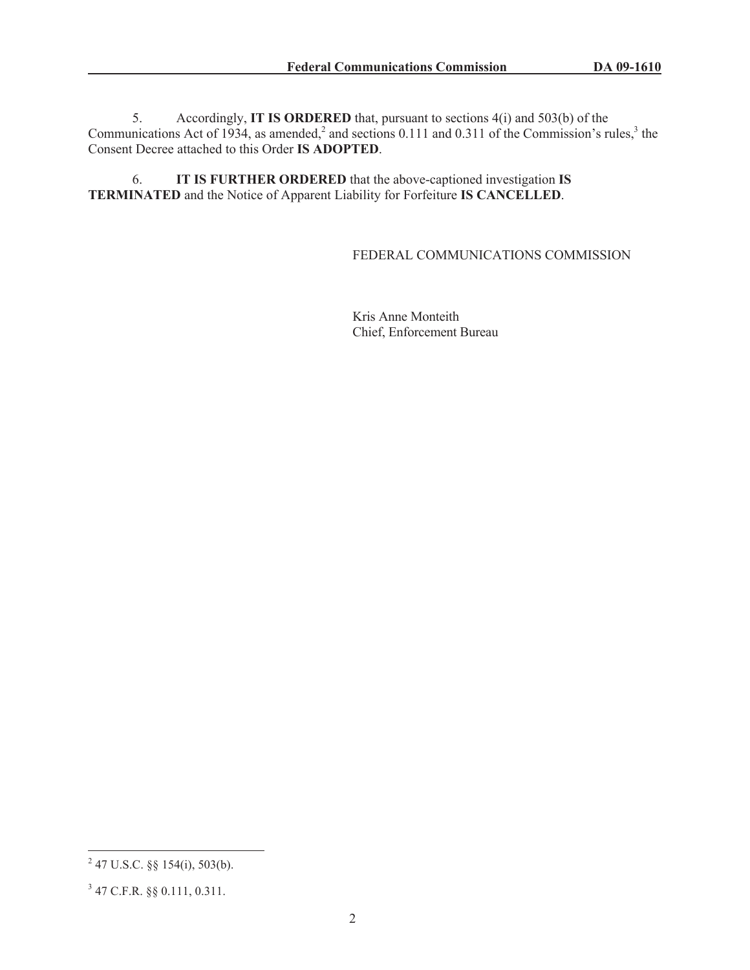5. Accordingly, **IT IS ORDERED** that, pursuant to sections 4(i) and 503(b) of the Communications Act of 1934, as amended,<sup>2</sup> and sections 0.111 and 0.311 of the Commission's rules,<sup>3</sup> the Consent Decree attached to this Order **IS ADOPTED**.

6. **IT IS FURTHER ORDERED** that the above-captioned investigation **IS TERMINATED** and the Notice of Apparent Liability for Forfeiture **IS CANCELLED**.

## FEDERAL COMMUNICATIONS COMMISSION

Kris Anne Monteith Chief, Enforcement Bureau

 $2^{2}$  47 U.S.C. §§ 154(i), 503(b).

<sup>3</sup> 47 C.F.R. §§ 0.111, 0.311.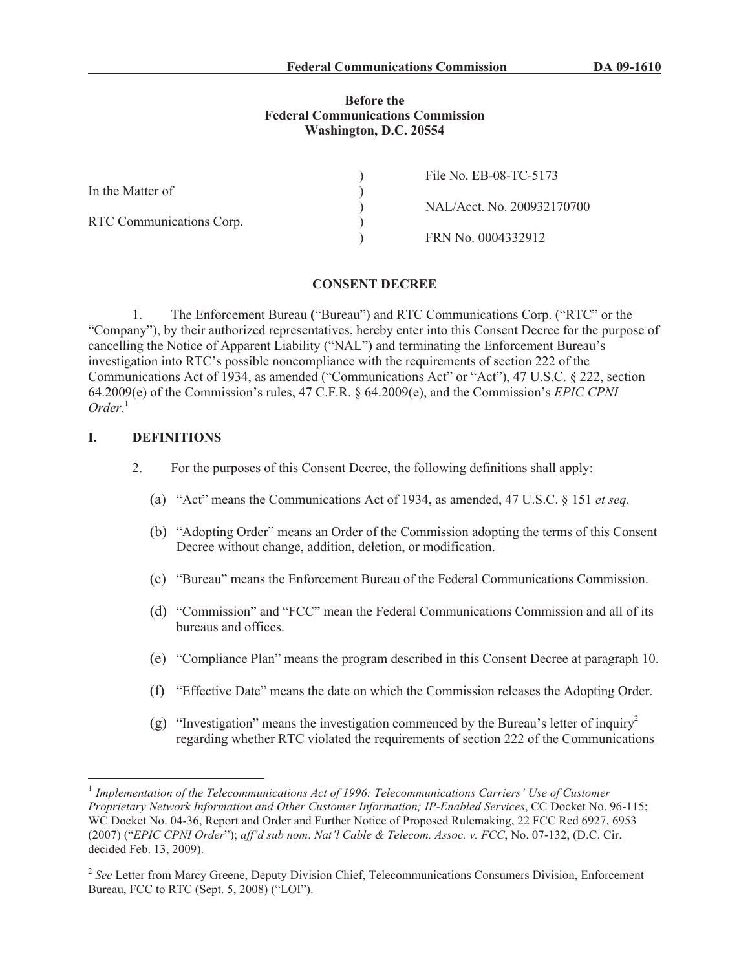### **Before the Federal Communications Commission Washington, D.C. 20554**

|                          | File No. EB-08-TC-5173     |
|--------------------------|----------------------------|
| In the Matter of         |                            |
|                          | NAL/Acct. No. 200932170700 |
| RTC Communications Corp. |                            |
|                          | FRN No. 0004332912         |

#### **CONSENT DECREE**

1. The Enforcement Bureau **(**"Bureau") and RTC Communications Corp. ("RTC" or the "Company"), by their authorized representatives, hereby enter into this Consent Decree for the purpose of cancelling the Notice of Apparent Liability ("NAL") and terminating the Enforcement Bureau's investigation into RTC's possible noncompliance with the requirements of section 222 of the Communications Act of 1934, as amended ("Communications Act" or "Act"), 47 U.S.C. § 222, section 64.2009(e) of the Commission's rules, 47 C.F.R. § 64.2009(e), and the Commission's *EPIC CPNI Order*. 1

### **I. DEFINITIONS**

- 2. For the purposes of this Consent Decree, the following definitions shall apply:
	- (a) "Act" means the Communications Act of 1934, as amended, 47 U.S.C. § 151 *et seq.*
	- (b) "Adopting Order" means an Order of the Commission adopting the terms of this Consent Decree without change, addition, deletion, or modification.
	- (c) "Bureau" means the Enforcement Bureau of the Federal Communications Commission.
	- (d) "Commission" and "FCC" mean the Federal Communications Commission and all of its bureaus and offices.
	- (e) "Compliance Plan" means the program described in this Consent Decree at paragraph 10.
	- (f) "Effective Date" means the date on which the Commission releases the Adopting Order.
	- (g) "Investigation" means the investigation commenced by the Bureau's letter of inquiry<sup>2</sup> regarding whether RTC violated the requirements of section 222 of the Communications

<sup>&</sup>lt;sup>1</sup> Implementation of the Telecommunications Act of 1996: Telecommunications Carriers' Use of Customer *Proprietary Network Information and Other Customer Information; IP-Enabled Services*, CC Docket No. 96-115; WC Docket No. 04-36, Report and Order and Further Notice of Proposed Rulemaking, 22 FCC Rcd 6927, 6953 (2007) ("*EPIC CPNI Order*"); *aff'd sub nom*. *Nat'l Cable & Telecom. Assoc. v. FCC*, No. 07-132, (D.C. Cir. decided Feb. 13, 2009).

<sup>&</sup>lt;sup>2</sup> See Letter from Marcy Greene, Deputy Division Chief, Telecommunications Consumers Division, Enforcement Bureau, FCC to RTC (Sept. 5, 2008) ("LOI").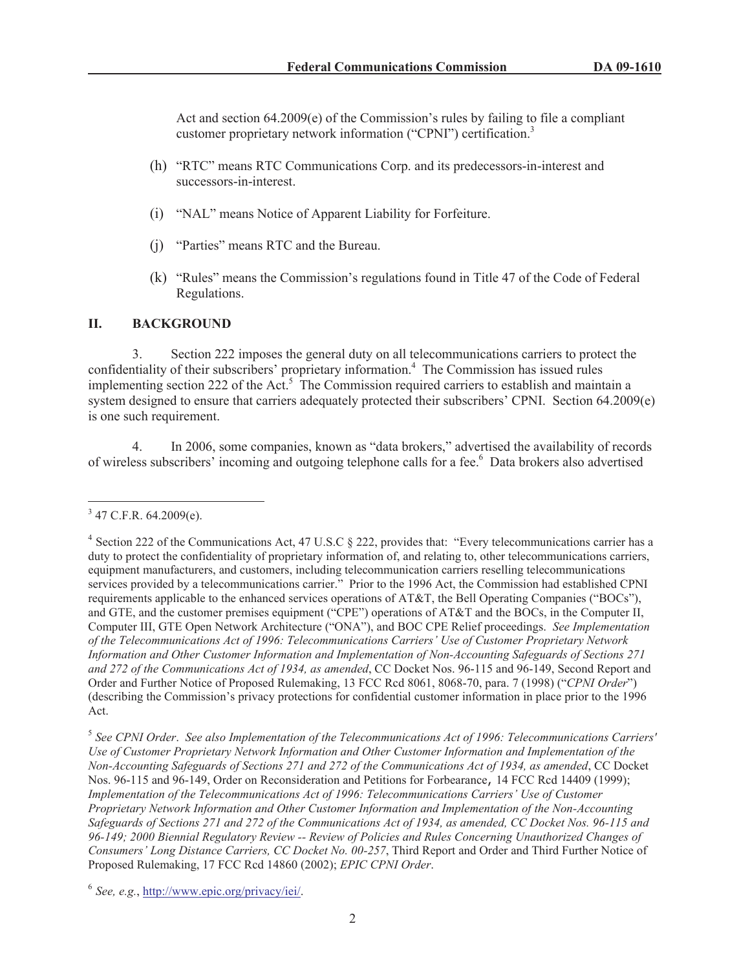Act and section 64.2009(e) of the Commission's rules by failing to file a compliant customer proprietary network information ("CPNI") certification.<sup>3</sup>

- (h) "RTC" means RTC Communications Corp. and its predecessors-in-interest and successors-in-interest.
- (i) "NAL" means Notice of Apparent Liability for Forfeiture.
- (j) "Parties" means RTC and the Bureau.
- (k) "Rules" means the Commission's regulations found in Title 47 of the Code of Federal Regulations.

## **II. BACKGROUND**

3. Section 222 imposes the general duty on all telecommunications carriers to protect the confidentiality of their subscribers' proprietary information.<sup>4</sup> The Commission has issued rules implementing section 222 of the Act.<sup>5</sup> The Commission required carriers to establish and maintain a system designed to ensure that carriers adequately protected their subscribers' CPNI. Section 64.2009(e) is one such requirement.

4. In 2006, some companies, known as "data brokers," advertised the availability of records of wireless subscribers' incoming and outgoing telephone calls for a fee.<sup>6</sup> Data brokers also advertised

 $3$  47 C.F.R. 64.2009(e).

<sup>&</sup>lt;sup>4</sup> Section 222 of the Communications Act, 47 U.S.C § 222, provides that: "Every telecommunications carrier has a duty to protect the confidentiality of proprietary information of, and relating to, other telecommunications carriers, equipment manufacturers, and customers, including telecommunication carriers reselling telecommunications services provided by a telecommunications carrier." Prior to the 1996 Act, the Commission had established CPNI requirements applicable to the enhanced services operations of AT&T, the Bell Operating Companies ("BOCs"), and GTE, and the customer premises equipment ("CPE") operations of AT&T and the BOCs, in the Computer II, Computer III, GTE Open Network Architecture ("ONA"), and BOC CPE Relief proceedings. *See Implementation of the Telecommunications Act of 1996: Telecommunications Carriers' Use of Customer Proprietary Network Information and Other Customer Information and Implementation of Non-Accounting Safeguards of Sections 271 and 272 of the Communications Act of 1934, as amended*, CC Docket Nos. 96-115 and 96-149, Second Report and Order and Further Notice of Proposed Rulemaking, 13 FCC Rcd 8061, 8068-70, para. 7 (1998) ("*CPNI Order*") (describing the Commission's privacy protections for confidential customer information in place prior to the 1996 Act.

<sup>5</sup> *See CPNI Order*. *See also Implementation of the Telecommunications Act of 1996: Telecommunications Carriers' Use of Customer Proprietary Network Information and Other Customer Information and Implementation of the Non-Accounting Safeguards of Sections 271 and 272 of the Communications Act of 1934, as amended*, CC Docket Nos. 96-115 and 96-149, Order on Reconsideration and Petitions for Forbearance, 14 FCC Rcd 14409 (1999); *Implementation of the Telecommunications Act of 1996: Telecommunications Carriers' Use of Customer Proprietary Network Information and Other Customer Information and Implementation of the Non-Accounting Safeguards of Sections 271 and 272 of the Communications Act of 1934, as amended, CC Docket Nos. 96-115 and 96-149; 2000 Biennial Regulatory Review -- Review of Policies and Rules Concerning Unauthorized Changes of Consumers' Long Distance Carriers, CC Docket No. 00-257*, Third Report and Order and Third Further Notice of Proposed Rulemaking, 17 FCC Rcd 14860 (2002); *EPIC CPNI Order*.

<sup>6</sup> *See, e.g.*, http://www.epic.org/privacy/iei/.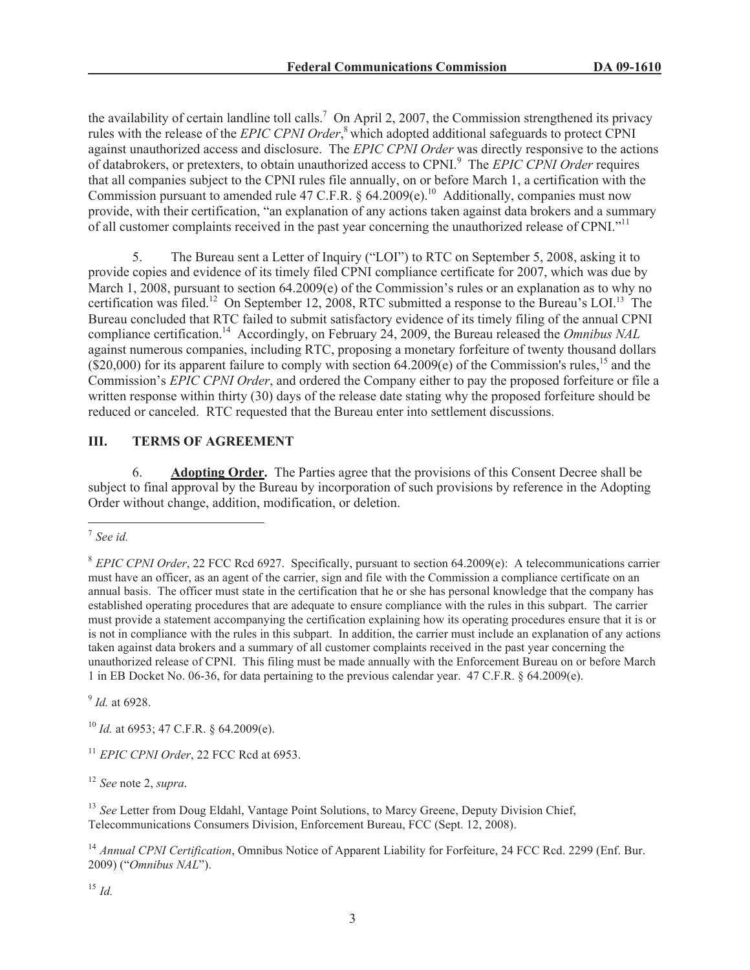the availability of certain landline toll calls.<sup>7</sup> On April 2, 2007, the Commission strengthened its privacy rules with the release of the *EPIC CPNI Order*, <sup>8</sup> which adopted additional safeguards to protect CPNI against unauthorized access and disclosure. The *EPIC CPNI Order* was directly responsive to the actions of databrokers, or pretexters, to obtain unauthorized access to CPNI.<sup>9</sup> The *EPIC CPNI Order* requires that all companies subject to the CPNI rules file annually, on or before March 1, a certification with the Commission pursuant to amended rule 47 C.F.R. § 64.2009(e).<sup>10</sup> Additionally, companies must now provide, with their certification, "an explanation of any actions taken against data brokers and a summary of all customer complaints received in the past year concerning the unauthorized release of CPNI."<sup>11</sup>

5. The Bureau sent a Letter of Inquiry ("LOI") to RTC on September 5, 2008, asking it to provide copies and evidence of its timely filed CPNI compliance certificate for 2007, which was due by March 1, 2008, pursuant to section 64.2009(e) of the Commission's rules or an explanation as to why no certification was filed.<sup>12</sup> On September 12, 2008, RTC submitted a response to the Bureau's LOI.<sup>13</sup> The Bureau concluded that RTC failed to submit satisfactory evidence of its timely filing of the annual CPNI compliance certification.<sup>14</sup> Accordingly, on February 24, 2009, the Bureau released the *Omnibus NAL* against numerous companies, including RTC, proposing a monetary forfeiture of twenty thousand dollars  $(S20,000)$  for its apparent failure to comply with section 64.2009(e) of the Commission's rules,<sup>15</sup> and the Commission's *EPIC CPNI Order*, and ordered the Company either to pay the proposed forfeiture or file a written response within thirty (30) days of the release date stating why the proposed forfeiture should be reduced or canceled. RTC requested that the Bureau enter into settlement discussions.

# **III. TERMS OF AGREEMENT**

6. **Adopting Order.** The Parties agree that the provisions of this Consent Decree shall be subject to final approval by the Bureau by incorporation of such provisions by reference in the Adopting Order without change, addition, modification, or deletion.

9 *Id.* at 6928.

<sup>10</sup> *Id.* at 6953; 47 C.F.R. § 64.2009(e).

<sup>11</sup> *EPIC CPNI Order*, 22 FCC Rcd at 6953.

<sup>12</sup> *See* note 2, *supra.*

<sup>13</sup> See Letter from Doug Eldahl, Vantage Point Solutions, to Marcy Greene, Deputy Division Chief, Telecommunications Consumers Division, Enforcement Bureau, FCC (Sept. 12, 2008).

<sup>14</sup> Annual CPNI Certification, Omnibus Notice of Apparent Liability for Forfeiture, 24 FCC Rcd. 2299 (Enf. Bur. 2009) ("*Omnibus NAL*").

<sup>15</sup> *Id.*

<sup>7</sup> *See id.*

<sup>8</sup> *EPIC CPNI Order*, 22 FCC Rcd 6927. Specifically, pursuant to section 64.2009(e): A telecommunications carrier must have an officer, as an agent of the carrier, sign and file with the Commission a compliance certificate on an annual basis. The officer must state in the certification that he or she has personal knowledge that the company has established operating procedures that are adequate to ensure compliance with the rules in this subpart. The carrier must provide a statement accompanying the certification explaining how its operating procedures ensure that it is or is not in compliance with the rules in this subpart. In addition, the carrier must include an explanation of any actions taken against data brokers and a summary of all customer complaints received in the past year concerning the unauthorized release of CPNI. This filing must be made annually with the Enforcement Bureau on or before March 1 in EB Docket No. 06-36, for data pertaining to the previous calendar year. 47 C.F.R. § 64.2009(e).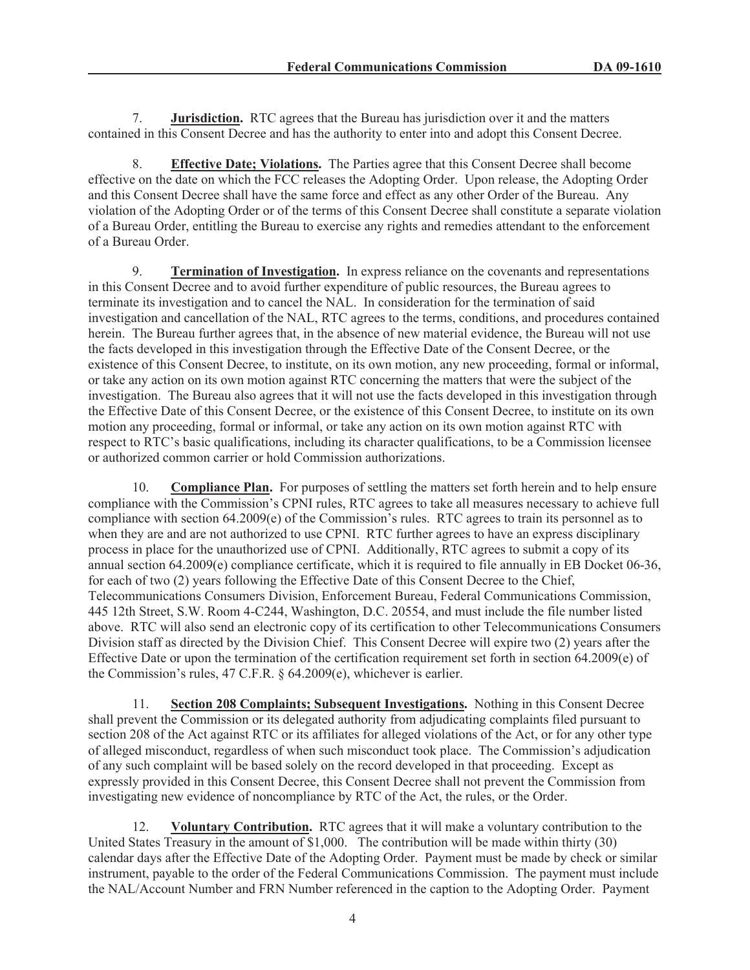7. **Jurisdiction.** RTC agrees that the Bureau has jurisdiction over it and the matters contained in this Consent Decree and has the authority to enter into and adopt this Consent Decree.

8. **Effective Date; Violations.** The Parties agree that this Consent Decree shall become effective on the date on which the FCC releases the Adopting Order. Upon release, the Adopting Order and this Consent Decree shall have the same force and effect as any other Order of the Bureau. Any violation of the Adopting Order or of the terms of this Consent Decree shall constitute a separate violation of a Bureau Order, entitling the Bureau to exercise any rights and remedies attendant to the enforcement of a Bureau Order.

9. **Termination of Investigation.** In express reliance on the covenants and representations in this Consent Decree and to avoid further expenditure of public resources, the Bureau agrees to terminate its investigation and to cancel the NAL. In consideration for the termination of said investigation and cancellation of the NAL, RTC agrees to the terms, conditions, and procedures contained herein. The Bureau further agrees that, in the absence of new material evidence, the Bureau will not use the facts developed in this investigation through the Effective Date of the Consent Decree, or the existence of this Consent Decree, to institute, on its own motion, any new proceeding, formal or informal, or take any action on its own motion against RTC concerning the matters that were the subject of the investigation. The Bureau also agrees that it will not use the facts developed in this investigation through the Effective Date of this Consent Decree, or the existence of this Consent Decree, to institute on its own motion any proceeding, formal or informal, or take any action on its own motion against RTC with respect to RTC's basic qualifications, including its character qualifications, to be a Commission licensee or authorized common carrier or hold Commission authorizations.

10. **Compliance Plan.** For purposes of settling the matters set forth herein and to help ensure compliance with the Commission's CPNI rules, RTC agrees to take all measures necessary to achieve full compliance with section 64.2009(e) of the Commission's rules. RTC agrees to train its personnel as to when they are and are not authorized to use CPNI. RTC further agrees to have an express disciplinary process in place for the unauthorized use of CPNI. Additionally, RTC agrees to submit a copy of its annual section 64.2009(e) compliance certificate, which it is required to file annually in EB Docket 06-36, for each of two (2) years following the Effective Date of this Consent Decree to the Chief, Telecommunications Consumers Division, Enforcement Bureau, Federal Communications Commission, 445 12th Street, S.W. Room 4-C244, Washington, D.C. 20554, and must include the file number listed above. RTC will also send an electronic copy of its certification to other Telecommunications Consumers Division staff as directed by the Division Chief. This Consent Decree will expire two (2) years after the Effective Date or upon the termination of the certification requirement set forth in section 64.2009(e) of the Commission's rules, 47 C.F.R. § 64.2009(e), whichever is earlier.

11. **Section 208 Complaints; Subsequent Investigations.** Nothing in this Consent Decree shall prevent the Commission or its delegated authority from adjudicating complaints filed pursuant to section 208 of the Act against RTC or its affiliates for alleged violations of the Act, or for any other type of alleged misconduct, regardless of when such misconduct took place. The Commission's adjudication of any such complaint will be based solely on the record developed in that proceeding. Except as expressly provided in this Consent Decree, this Consent Decree shall not prevent the Commission from investigating new evidence of noncompliance by RTC of the Act, the rules, or the Order.

12. **Voluntary Contribution.** RTC agrees that it will make a voluntary contribution to the United States Treasury in the amount of \$1,000. The contribution will be made within thirty (30) calendar days after the Effective Date of the Adopting Order. Payment must be made by check or similar instrument, payable to the order of the Federal Communications Commission. The payment must include the NAL/Account Number and FRN Number referenced in the caption to the Adopting Order. Payment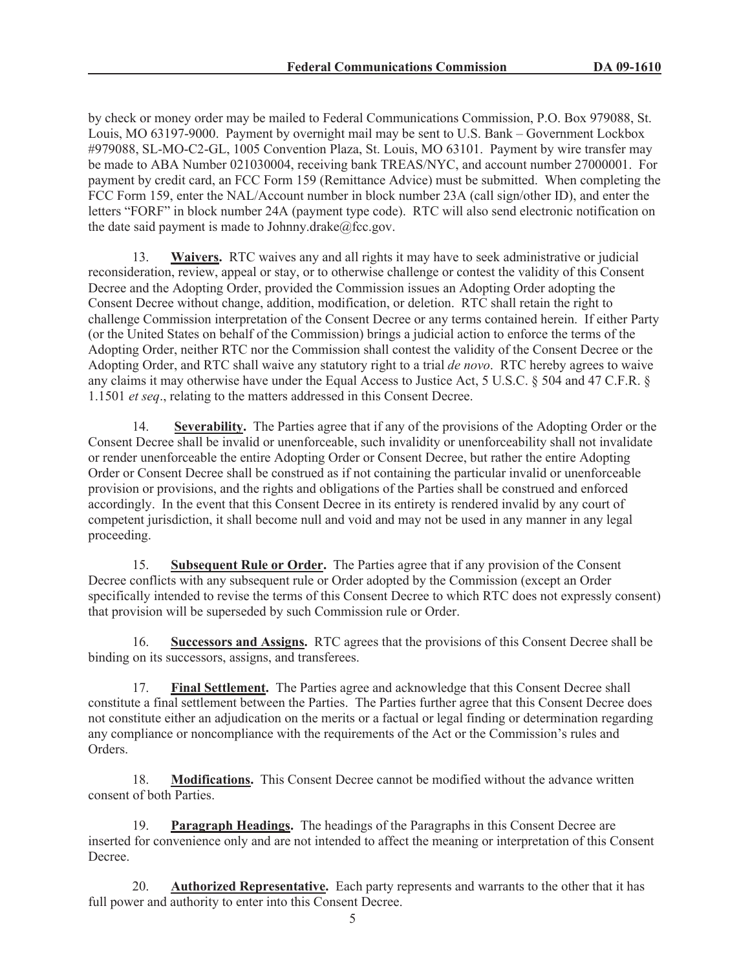by check or money order may be mailed to Federal Communications Commission, P.O. Box 979088, St. Louis, MO 63197-9000. Payment by overnight mail may be sent to U.S. Bank – Government Lockbox #979088, SL-MO-C2-GL, 1005 Convention Plaza, St. Louis, MO 63101. Payment by wire transfer may be made to ABA Number 021030004, receiving bank TREAS/NYC, and account number 27000001. For payment by credit card, an FCC Form 159 (Remittance Advice) must be submitted. When completing the FCC Form 159, enter the NAL/Account number in block number 23A (call sign/other ID), and enter the letters "FORF" in block number 24A (payment type code). RTC will also send electronic notification on the date said payment is made to Johnny.drake $@$ fcc.gov.

13. **Waivers.** RTC waives any and all rights it may have to seek administrative or judicial reconsideration, review, appeal or stay, or to otherwise challenge or contest the validity of this Consent Decree and the Adopting Order, provided the Commission issues an Adopting Order adopting the Consent Decree without change, addition, modification, or deletion. RTC shall retain the right to challenge Commission interpretation of the Consent Decree or any terms contained herein. If either Party (or the United States on behalf of the Commission) brings a judicial action to enforce the terms of the Adopting Order, neither RTC nor the Commission shall contest the validity of the Consent Decree or the Adopting Order, and RTC shall waive any statutory right to a trial *de novo*. RTC hereby agrees to waive any claims it may otherwise have under the Equal Access to Justice Act, 5 U.S.C. § 504 and 47 C.F.R. § 1.1501 *et seq*., relating to the matters addressed in this Consent Decree.

14. **Severability.** The Parties agree that if any of the provisions of the Adopting Order or the Consent Decree shall be invalid or unenforceable, such invalidity or unenforceability shall not invalidate or render unenforceable the entire Adopting Order or Consent Decree, but rather the entire Adopting Order or Consent Decree shall be construed as if not containing the particular invalid or unenforceable provision or provisions, and the rights and obligations of the Parties shall be construed and enforced accordingly. In the event that this Consent Decree in its entirety is rendered invalid by any court of competent jurisdiction, it shall become null and void and may not be used in any manner in any legal proceeding.

15. **Subsequent Rule or Order.** The Parties agree that if any provision of the Consent Decree conflicts with any subsequent rule or Order adopted by the Commission (except an Order specifically intended to revise the terms of this Consent Decree to which RTC does not expressly consent) that provision will be superseded by such Commission rule or Order.

16. **Successors and Assigns.** RTC agrees that the provisions of this Consent Decree shall be binding on its successors, assigns, and transferees.

17. **Final Settlement.** The Parties agree and acknowledge that this Consent Decree shall constitute a final settlement between the Parties. The Parties further agree that this Consent Decree does not constitute either an adjudication on the merits or a factual or legal finding or determination regarding any compliance or noncompliance with the requirements of the Act or the Commission's rules and Orders.

18. **Modifications.** This Consent Decree cannot be modified without the advance written consent of both Parties.

19. **Paragraph Headings.** The headings of the Paragraphs in this Consent Decree are inserted for convenience only and are not intended to affect the meaning or interpretation of this Consent Decree.

20. **Authorized Representative.** Each party represents and warrants to the other that it has full power and authority to enter into this Consent Decree.